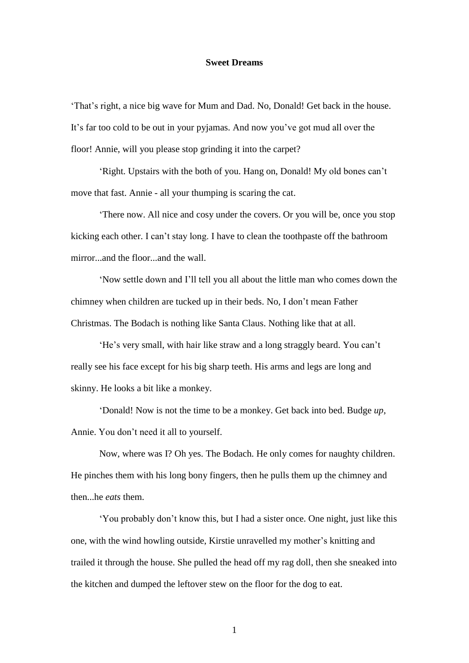## **Sweet Dreams**

'That's right, a nice big wave for Mum and Dad. No, Donald! Get back in the house. It's far too cold to be out in your pyjamas. And now you've got mud all over the floor! Annie, will you please stop grinding it into the carpet?

'Right. Upstairs with the both of you. Hang on, Donald! My old bones can't move that fast. Annie - all your thumping is scaring the cat.

'There now. All nice and cosy under the covers. Or you will be, once you stop kicking each other. I can't stay long. I have to clean the toothpaste off the bathroom mirror...and the floor...and the wall.

'Now settle down and I'll tell you all about the little man who comes down the chimney when children are tucked up in their beds. No, I don't mean Father Christmas. The Bodach is nothing like Santa Claus. Nothing like that at all.

'He's very small, with hair like straw and a long straggly beard. You can't really see his face except for his big sharp teeth. His arms and legs are long and skinny. He looks a bit like a monkey.

'Donald! Now is not the time to be a monkey. Get back into bed. Budge *up*, Annie. You don't need it all to yourself.

Now, where was I? Oh yes. The Bodach. He only comes for naughty children. He pinches them with his long bony fingers, then he pulls them up the chimney and then...he *eats* them.

'You probably don't know this, but I had a sister once. One night, just like this one, with the wind howling outside, Kirstie unravelled my mother's knitting and trailed it through the house. She pulled the head off my rag doll, then she sneaked into the kitchen and dumped the leftover stew on the floor for the dog to eat.

1